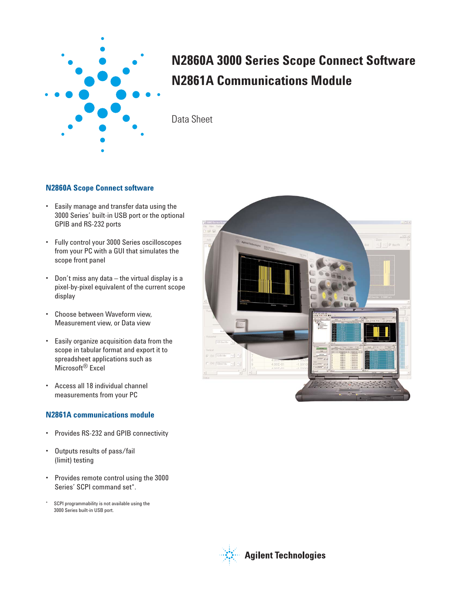

# **N2860A 3000 Series Scope Connect Software N2861A Communications Module**

Data Sheet

### **N2860A Scope Connect software**

- Easily manage and transfer data using the 3000 Series' built-in USB port or the optional GPIB and RS-232 ports
- Fully control your 3000 Series oscilloscopes from your PC with a GUI that simulates the scope front panel
- Don't miss any data the virtual display is a pixel-by-pixel equivalent of the current scope display
- Choose between Waveform view, Measurement view, or Data view
- Easily organize acquisition data from the scope in tabular format and export it to spreadsheet applications such as Microsoft<sup>®</sup> Excel
- Access all 18 individual channel measurements from your PC

### **N2861A communications module**

- Provides RS-232 and GPIB connectivity
- Outputs results of pass/fail (limit) testing
- Provides remote control using the 3000 Series' SCPI command set\*.
- \* SCPI programmability is not available using the 3000 Series built-in USB port.



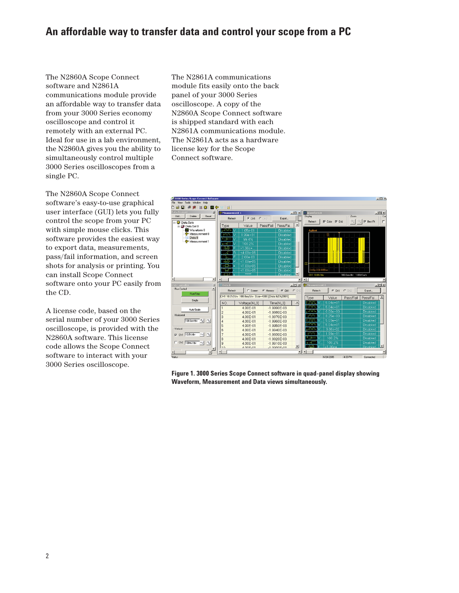### **An affordable way to transfer data and control your scope from a PC**

The N2860A Scope Connect software and N2861A communications module provide an affordable way to transfer data from your 3000 Series economy oscilloscope and control it remotely with an external PC. Ideal for use in a lab environment, the N2860A gives you the ability to simultaneously control multiple 3000 Series oscilloscopes from a single PC.

The N2860A Scope Connect software's easy-to-use graphical user interface (GUI) lets you fully control the scope from your PC with simple mouse clicks. This software provides the easiest way to export data, measurements, pass/fail information, and screen shots for analysis or printing. You can install Scope Connect software onto your PC easily from the CD.

A license code, based on the serial number of your 3000 Series oscilloscope, is provided with the N2860A software. This license code allows the Scope Connect software to interact with your 3000 Series oscilloscope.

The N2861A communications module fits easily onto the back panel of your 3000 Series oscilloscope. A copy of the N2860A Scope Connect software is shipped standard with each N2861A communications module. The N2861A acts as a hardware license key for the Scope Connect software.



**Figure 1. 3000 Series Scope Connect software in quad-panel display showing Waveform, Measurement and Data views simultaneously.**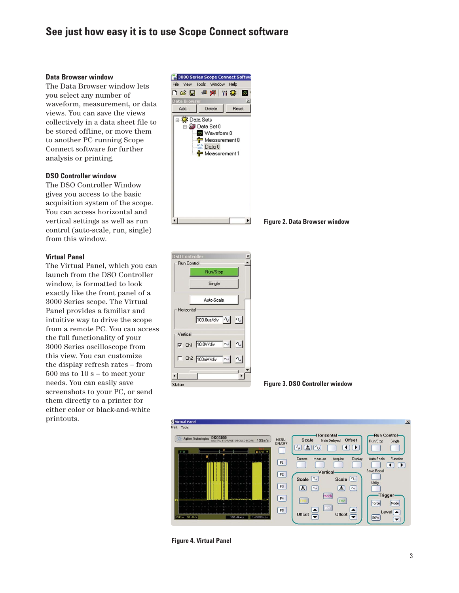### **See just how easy it is to use Scope Connect software**

#### **Data Browser window**

The Data Browser window lets you select any number of waveform, measurement, or data views. You can save the views collectively in a data sheet file to be stored offline, or move them to another PC running Scope Connect software for further analysis or printing.

#### **DSO Controller window**

The DSO Controller Window gives you access to the basic acquisition system of the scope. You can access horizontal and vertical settings as well as run control (auto-scale, run, single) from this window.

#### **Virtual Panel**

The Virtual Panel, which you can launch from the DSO Controller window, is formatted to look exactly like the front panel of a 3000 Series scope. The Virtual Panel provides a familiar and intuitive way to drive the scope from a remote PC. You can access the full functionality of your 3000 Series oscilloscope from this view. You can customize the display refresh rates – from 500 ms to 10 s – to meet your needs. You can easily save screenshots to your PC, or send them directly to a printer for either color or black-and-white printouts.



**Figure 2. Data Browser window**







**Figure 4. Virtual Panel**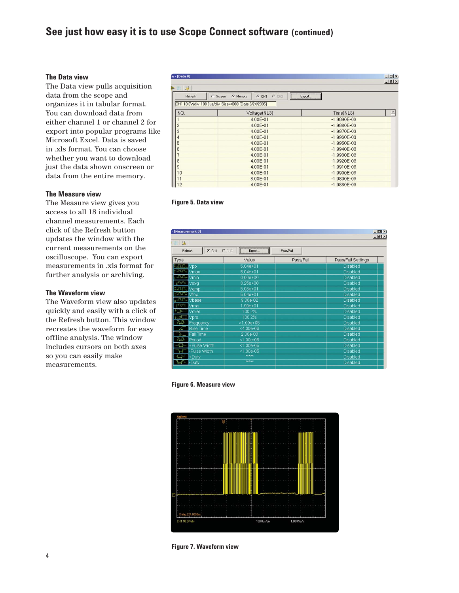### **See just how easy it is to use Scope Connect software (continued)**

#### **The Data view**

The Data view pulls acquisition data from the scope and organizes it in tabular format. You can download data from either channel 1 or channel 2 for export into popular programs like Microsoft Excel. Data is saved in .xls format. You can choose whether you want to download just the data shown onscreen or data from the entire memory.

#### **The Measure view**

The Measure view gives you access to all 18 individual channel measurements. Each click of the Refresh button updates the window with the current measurements on the oscilloscope. You can export measurements in .xls format for further analysis or archiving.

#### **The Waveform view**

The Waveform view also updates quickly and easily with a click of the Refresh button. This window recreates the waveform for easy offline analysis. The window includes cursors on both axes so you can easily make measurements.

| e - [Data 0]   |                                                                                 |                 | $  \sqrt{2}$ |  |
|----------------|---------------------------------------------------------------------------------|-----------------|--------------|--|
| - 18 星         |                                                                                 |                 |              |  |
| Refresh        | $C$ CH <sub>2</sub><br>$\widehat{G}$<br>C Screen<br>G Memory<br>CH <sub>1</sub> | Export          |              |  |
|                | CH1 10.0V/div 100.0us/div Size=4000 [Date:6/24/2005]                            |                 |              |  |
| NO.            | Voltage(NL3)                                                                    | Time(NL3)       | ∸            |  |
|                | 4.00E-01                                                                        | $-1.9990E-03$   |              |  |
| $\overline{c}$ | 4.00E-01                                                                        | $-1.9980E-03$   |              |  |
| 3              | 4.00E-01                                                                        | $-1.9970E-03$   |              |  |
| $\overline{4}$ | 4.00E-01                                                                        | $-1.9960E - 03$ |              |  |
| $\sqrt{5}$     | 4.00E-01                                                                        | $-1.9950E-03$   |              |  |
| 6              | 4.00E-01                                                                        | $-1.9940E-03$   |              |  |
| 7              | 4.00E-01                                                                        | $-1.9930E-03$   |              |  |
| 8              | 4.00E-01                                                                        | $-1.9920E-03$   |              |  |
| $\mathsf{9}$   | 4.00E-01                                                                        | $-1.9910E-03$   |              |  |
| 10             | 4.00E-01                                                                        | $-1.9900E-03$   |              |  |
| 11             | 8.00E-01                                                                        | $-1.9890E-03$   |              |  |
| 12             | 4.00E-01                                                                        | $-1.9880E-03$   |              |  |



| $ \Box$ $\times$<br>- [Measurement 0]                                 |                               |           |                    |  |  |  |
|-----------------------------------------------------------------------|-------------------------------|-----------|--------------------|--|--|--|
| $-10 \times$<br>$\begin{bmatrix} 0 & 10 \\ 10 & 1 \end{bmatrix}$<br>基 |                               |           |                    |  |  |  |
| GCH1<br>Refresh                                                       | $C$ CH <sub>2</sub><br>Export | Pass/Fail |                    |  |  |  |
| Type                                                                  | Value                         | Pass/Fail | Pass/Fail Settings |  |  |  |
| <b>It fully Vpp</b>                                                   | $5.04e + 01$                  |           | Disabled           |  |  |  |
| turn Vmax                                                             | $5.04e + 01$                  |           | <b>Disabled</b>    |  |  |  |
| + 200 Vmin                                                            | $0.00e + 00$                  |           | Disabled           |  |  |  |
| $t$ <sup>A<math>\curvearrowleft</math></sup> Vavq                     | 8.25e+00                      |           | <b>Disabled</b>    |  |  |  |
| turulu Vamp                                                           | $5.03e + 01$                  |           | Disabled           |  |  |  |
| <b>TJUL</b> Vtop                                                      | $5.04e + 01$                  |           | <b>Disabled</b>    |  |  |  |
| <b>ANN Vbase</b>                                                      | 9.36e-02                      |           | Disabled           |  |  |  |
| $T\vee \vee T$<br><b>Vrms</b>                                         | 1.99e+01                      |           | <b>Disabled</b>    |  |  |  |
| Vover                                                                 | 100.2%                        |           | Disabled           |  |  |  |
| Vpre                                                                  | 100.2%                        |           | <b>Disabled</b>    |  |  |  |
| 建毕<br>Frequency                                                       | $>1.00e+05$                   |           | Disabled           |  |  |  |
| <b>Rise Time</b>                                                      | <4.00e-06                     |           | <b>Disabled</b>    |  |  |  |
| Fall Time                                                             | $2.00e-03$                    |           | Disabled           |  |  |  |
| بالطواء<br>Period                                                     | $< 1.00e - 05$                |           | <b>Disabled</b>    |  |  |  |
| +Pulse Width                                                          | $< 1.00e-05$                  |           | Disabled           |  |  |  |
| -Pulse Width                                                          | $< 1.00e - 05$                |           | <b>Disabled</b>    |  |  |  |
| +Duty<br>€₽                                                           | <b>AXXXX</b>                  |           | Disabled           |  |  |  |
| $H - D^2$                                                             | <b>WAYARAY</b>                |           | <b>Disabled</b>    |  |  |  |





**Figure 7. Waveform view**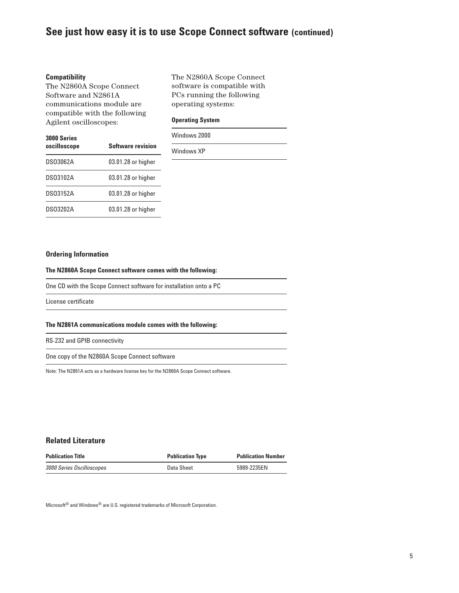### **See just how easy it is to use Scope Connect software (continued)**

#### **Compatibility**

The N2860A Scope Connect Software and N2861A communications module are compatible with the following Agilent oscilloscopes:

The N2860A Scope Connect software is compatible with PCs running the following operating systems:

#### **Operating System**

| <b>3000 Series</b><br>oscilloscope | <b>Software revision</b> |
|------------------------------------|--------------------------|
| <b>DS03062A</b>                    | 03.01.28 or higher       |
| DS03102A                           | 03.01.28 or higher       |
| DS03152A                           | 03.01.28 or higher       |
| DS03202A                           | 03.01.28 or higher       |

Windows 2000

Windows XP

#### **Ordering Information**

#### **The N2860A Scope Connect software comes with the following:**

One CD with the Scope Connect software for installation onto a PC

License certificate

#### **The N2861A communications module comes with the following:**

RS-232 and GPIB connectivity

One copy of the N2860A Scope Connect software

Note: The N2861A acts as a hardware license key for the N2860A Scope Connect software.

#### **Related Literature**

| <b>Publication Title</b>  | <b>Publication Type</b> | <b>Publication Number</b> |
|---------------------------|-------------------------|---------------------------|
| 3000 Series Oscilloscopes | Data Sheet              | 5989-2235EN               |

Microsoft<sup>®</sup> and Windows<sup>®</sup> are U.S. registered trademarks of Microsoft Corporation.